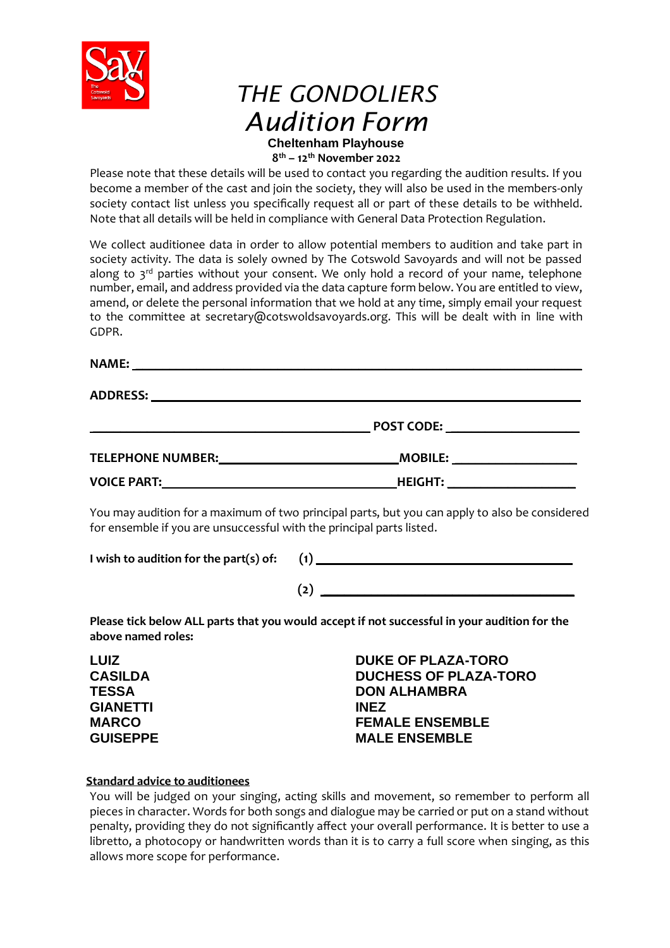

# *THE GONDOLIERS Audition Form* **Cheltenham Playhouse**

**8 th – 12th November 2022**

Please note that these details will be used to contact you regarding the audition results. If you become a member of the cast and join the society, they will also be used in the members-only society contact list unless you specifically request all or part of these details to be withheld. Note that all details will be held in compliance with General Data Protection Regulation.

We collect auditionee data in order to allow potential members to audition and take part in society activity. The data is solely owned by The Cotswold Savoyards and will not be passed along to  $3^{rd}$  parties without your consent. We only hold a record of your name, telephone number, email, and address provided via the data capture form below. You are entitled to view, amend, or delete the personal information that we hold at any time, simply email your request to the committee at secretary@cotswoldsavoyards.org. This will be dealt with in line with GDPR.

**NAME:**  $\blacksquare$ 

**ADDRESS:** \_\_\_\_\_\_\_\_\_\_\_\_\_\_\_\_\_\_\_\_\_\_\_\_\_\_\_\_\_\_\_\_\_\_\_\_\_\_\_\_\_\_\_\_\_\_\_\_\_\_\_\_\_\_\_\_\_\_\_\_\_\_\_

|                          | <b>POST CODE:</b> |  |
|--------------------------|-------------------|--|
| <b>TELEPHONE NUMBER:</b> | <b>MOBILE:</b>    |  |
| <b>VOICE PART:</b>       | <b>HEIGHT:</b>    |  |

You may audition for a maximum of two principal parts, but you can apply to also be considered for ensemble if you are unsuccessful with the principal parts listed.

| I wish to audition for the part(s) of: |  |
|----------------------------------------|--|
|----------------------------------------|--|

| (2) |  |  |  |
|-----|--|--|--|

**Please tick below ALL parts that you would accept if not successful in your audition for the above named roles:**

**LUIZ CASILDA TESSA GIANETTI MARCO GUISEPPE**

**DUKE OF PLAZA-TORO DUCHESS OF PLAZA-TORO DON ALHAMBRA INEZ FEMALE ENSEMBLE MALE ENSEMBLE**

## **Standard advice to auditionees**

You will be judged on your singing, acting skills and movement, so remember to perform all pieces in character. Words for both songs and dialogue may be carried or put on a stand without penalty, providing they do not significantly affect your overall performance. It is better to use a libretto, a photocopy or handwritten words than it is to carry a full score when singing, as this allows more scope for performance.